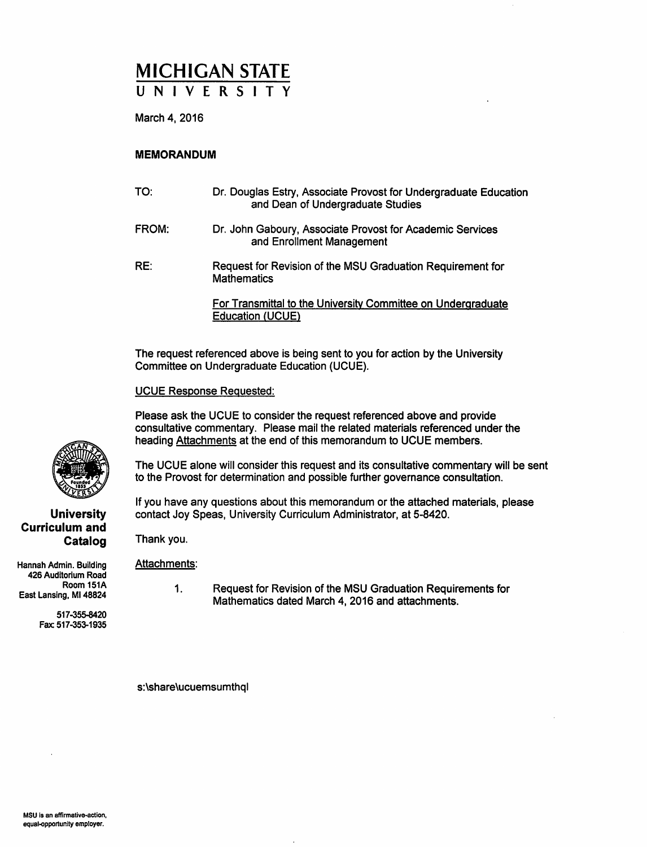# MICHIGAN STATE

March 4, 2016

### **MEMORANDUM**

| TO:   | Dr. Douglas Estry, Associate Provost for Undergraduate Education<br>and Dean of Undergraduate Studies |
|-------|-------------------------------------------------------------------------------------------------------|
| FROM: | Dr. John Gaboury, Associate Provost for Academic Services<br>and Enrollment Management                |
| RE:   | Request for Revision of the MSU Graduation Requirement for<br><b>Mathematics</b>                      |
|       | For Transmittal to the University Committee on Undergraduate<br><b>Education (UCUE)</b>               |

The request referenced above is being sent to you for action by the University Committee on Undergraduate Education (UCUE).

#### **UCUE Response Requested:**

Please ask the UCUE to consider the request referenced above and provide consultative commentary. Please mail the related materials referenced under the heading Attachments at the end of this memorandum to UCUE members.

The UCUE alone will consider this request and its consultative commentary will be sent to the Provost for determination and possible further governance consultation.

If you have any questions about this memorandum or the attached materials, please contact Joy Speas, University Curriculum Administrator, at 5-8420.

Thank you.

#### Attachments:

Hannah Admin. Building 426 Auditorium Road Room 151A East Lansing, MI 48824

**Curriculum and** 

517-355-8420 Fax: 517-353-1935  $\mathbf{1}$ . Request for Revision of the MSU Graduation Requirements for Mathematics dated March 4, 2016 and attachments.

s:\share\ucuemsumthql



Catalog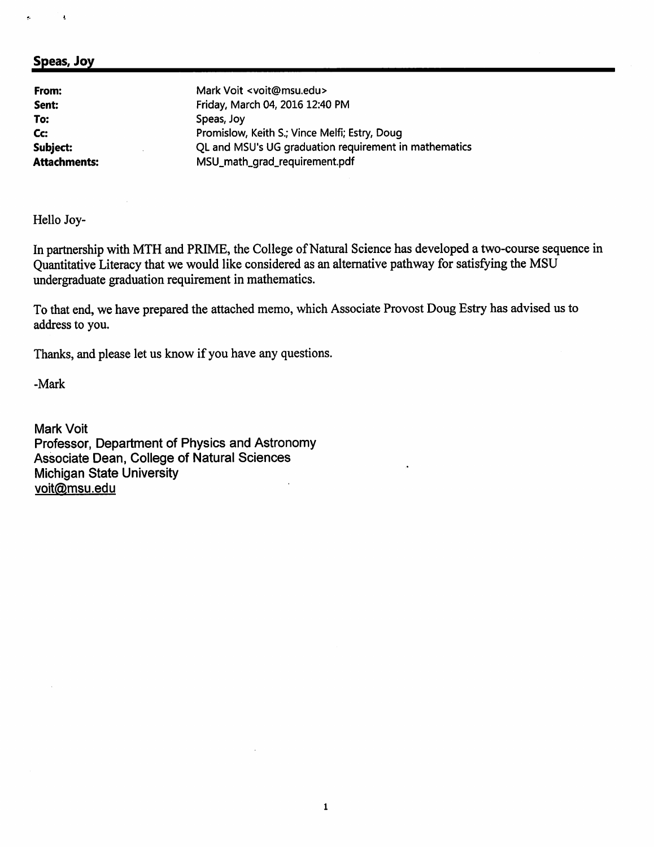# Speas, Joy

k,

| From:               | Mark Voit <voit@msu.edu></voit@msu.edu>               |
|---------------------|-------------------------------------------------------|
| Sent:               | Friday, March 04, 2016 12:40 PM                       |
| To:                 | Speas, Joy                                            |
| Cc:                 | Promislow, Keith S.; Vince Melfi; Estry, Doug         |
| Subject:            | QL and MSU's UG graduation requirement in mathematics |
| <b>Attachments:</b> | MSU_math_grad_requirement.pdf                         |

Hello Joy-

In partnership with MTH and PRIME, the College of Natural Science has developed a two-course sequence in Quantitative Literacy that we would like considered as an alternative pathway for satisfying the MSU undergraduate graduation requirement in mathematics.

To that end, we have prepared the attached memo, which Associate Provost Doug Estry has advised us to address to you.

Thanks, and please let us know if you have any questions.

-Mark

Mark Voit Professor, Department of Physics and Astronomy Associate Dean, College of Natural Sciences **Michigan State University** voit@msu.edu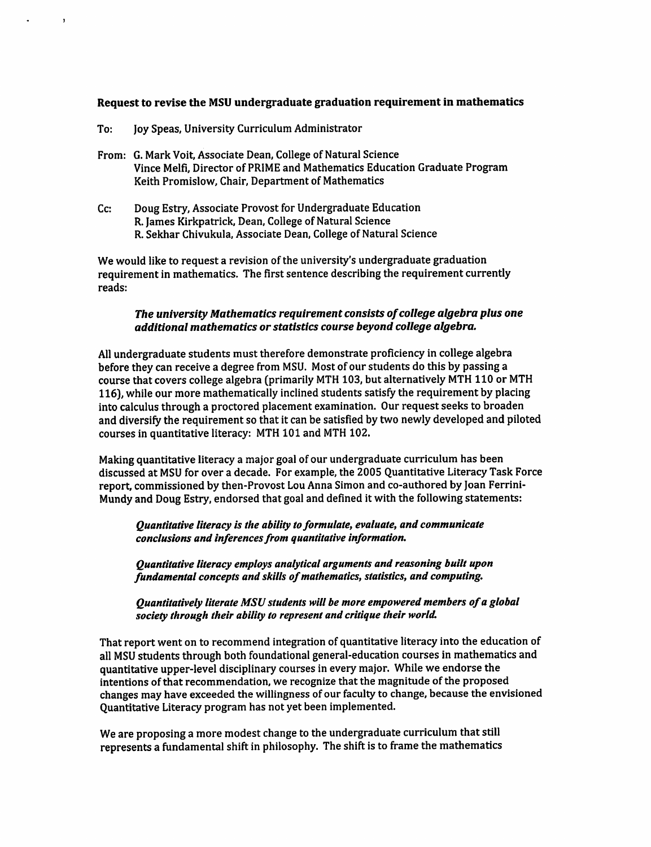## Request to revise the MSU undergraduate graduation requirement in mathematics

To: Joy Speas, University Curriculum Administrator

 $\overline{\mathbf{1}}$ 

- From: G. Mark Voit, Associate Dean, College of Natural Science Vince Melfi, Director of PRIME and Mathematics Education Graduate Program Keith Promislow, Chair, Department of Mathematics
- Cc: Doug Estry, Associate Provost for Undergraduate Education R. James Kirkpatrick, Dean, College of Natural Science R. Sekhar Chivukula, Associate Dean, College of Natural Science

We would like to request a revision of the university's undergraduate graduation requirement in mathematics. The first sentence describing the requirement currently reads:

#### The university Mathematics requirement consists of college algebra plus one additional mathematics or statistics course beyond college algebra.

All undergraduate students must therefore demonstrate proficiency in college algebra before they can receive a degree from MSU. Most of our students do this by passing a course that covers college algebra (primarily MTH 103, but alternatively MTH 110 or MTH 116), while our more mathematically inclined students satisfy the requirement by placing into calculus through a proctored placement examination. Our request seeks to broaden and diversify the requirement so that it can be satisfied by two newly developed and piloted courses in quantitative literacy: MTH 101 and MTH 102.

Making quantitative literacy a major goal of our undergraduate curriculum has been discussed at MSU for over a decade. For example, the 2005 Quantitative Literacy Task Force report, commissioned by then-Provost Lou Anna Simon and co-authored by Joan Ferrini-Mundy and Doug Estry, endorsed that goal and defined it with the following statements:

Quantitative literacy is the ability to formulate, evaluate, and communicate conclusions and inferences from quantitative information.

Ouantitative literacy employs analytical arguments and reasoning built upon fundamental concepts and skills of mathematics, statistics, and computing.

Quantitatively literate MSU students will be more empowered members of a global society through their ability to represent and critique their world.

That report went on to recommend integration of quantitative literacy into the education of all MSU students through both foundational general-education courses in mathematics and quantitative upper-level disciplinary courses in every major. While we endorse the intentions of that recommendation, we recognize that the magnitude of the proposed changes may have exceeded the willingness of our faculty to change, because the envisioned Quantitative Literacy program has not yet been implemented.

We are proposing a more modest change to the undergraduate curriculum that still represents a fundamental shift in philosophy. The shift is to frame the mathematics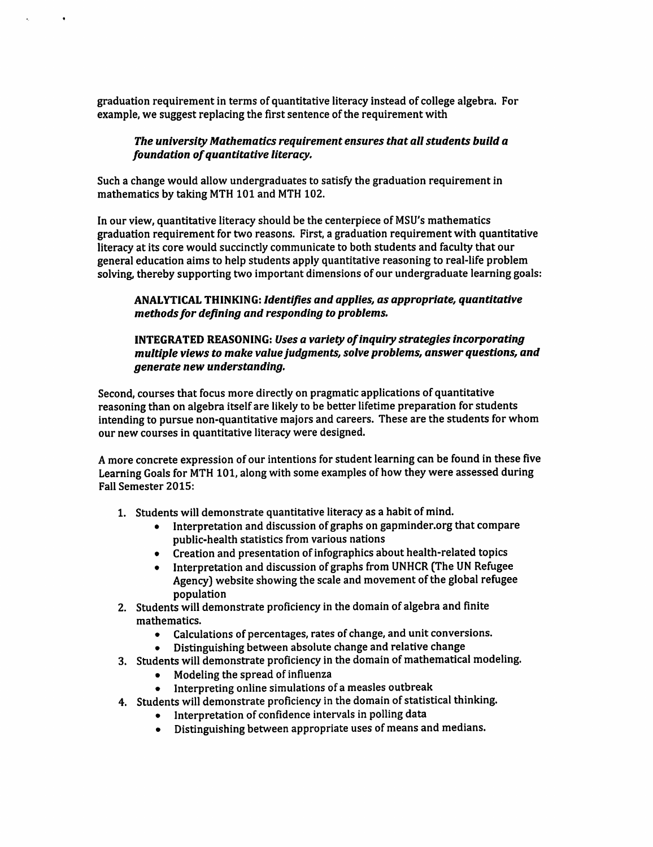graduation requirement in terms of quantitative literacy instead of college algebra. For example, we suggest replacing the first sentence of the requirement with

 $\bullet$ 

## The university Mathematics reauirement ensures that all students build a foundation of quantitative literacy.

Such a change would allow undergraduates to satisfy the graduation requirement in mathematics by taking MTH 101 and MTH 102.

In our view, quantitative literacy should be the centerpiece of MSU's mathematics graduation requirement for two reasons. First, a graduation requirement with quantitative literacy at its core would succinctly communicate to both students and faculty that our general education aims to help students apply quantitative reasoning to real-life problem solving, thereby supporting two important dimensions of our undergraduate learning goals:

## **ANALYTICAL THINKING: Identifies and applies, as appropriate, quantitative** methods for defining and responding to problems.

## **INTEGRATED REASONING: Uses a variety of inquiry strategies incorporating** multiple views to make value judgments, solve problems, answer questions, and generate new understanding.

Second, courses that focus more directly on pragmatic applications of quantitative reasoning than on algebra itself are likely to be better lifetime preparation for students intending to pursue non-quantitative majors and careers. These are the students for whom our new courses in quantitative literacy were designed.

A more concrete expression of our intentions for student learning can be found in these five Learning Goals for MTH 101, along with some examples of how they were assessed during **Fall Semester 2015:** 

- 1. Students will demonstrate quantitative literacy as a habit of mind.
	- Interpretation and discussion of graphs on gapminder.org that compare  $\bullet$ public-health statistics from various nations
	- Creation and presentation of infographics about health-related topics
	- Interpretation and discussion of graphs from UNHCR (The UN Refugee Agency) website showing the scale and movement of the global refugee population
- 2. Students will demonstrate proficiency in the domain of algebra and finite mathematics.
	- Calculations of percentages, rates of change, and unit conversions.  $\bullet$
	- Distinguishing between absolute change and relative change
- 3. Students will demonstrate proficiency in the domain of mathematical modeling.
	- Modeling the spread of influenza
	- Interpreting online simulations of a measles outbreak
- 4. Students will demonstrate proficiency in the domain of statistical thinking.
	- Interpretation of confidence intervals in polling data
	- Distinguishing between appropriate uses of means and medians.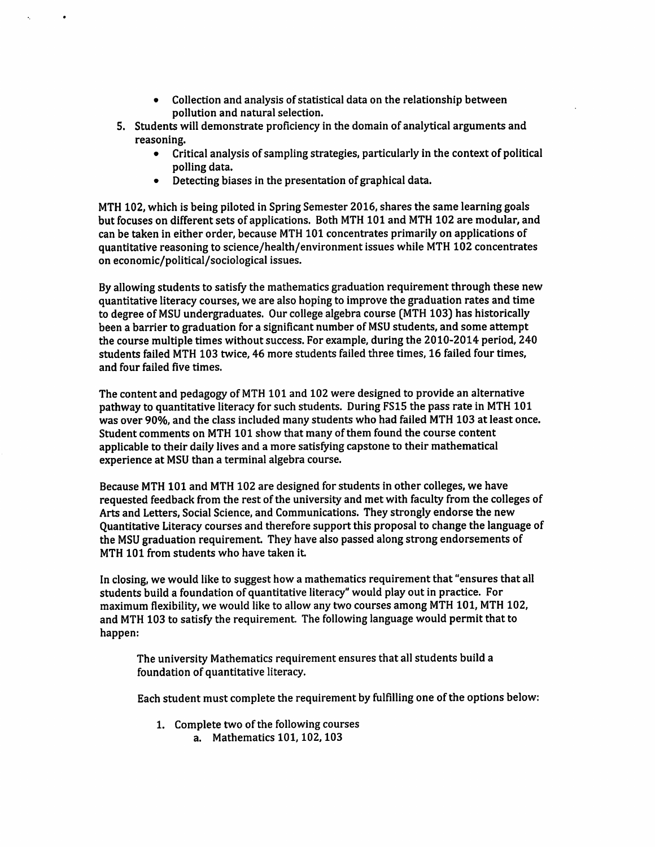- Collection and analysis of statistical data on the relationship between  $\bullet$ pollution and natural selection.
- 5. Students will demonstrate proficiency in the domain of analytical arguments and reasoning.
	- $\bullet$ Critical analysis of sampling strategies, particularly in the context of political polling data.
	- Detecting biases in the presentation of graphical data.

MTH 102, which is being piloted in Spring Semester 2016, shares the same learning goals but focuses on different sets of applications. Both MTH 101 and MTH 102 are modular, and can be taken in either order, because MTH 101 concentrates primarily on applications of quantitative reasoning to science/health/environment issues while MTH 102 concentrates on economic/political/sociological issues.

By allowing students to satisfy the mathematics graduation requirement through these new quantitative literacy courses, we are also hoping to improve the graduation rates and time to degree of MSU undergraduates. Our college algebra course (MTH 103) has historically been a barrier to graduation for a significant number of MSU students, and some attempt the course multiple times without success. For example, during the 2010-2014 period, 240 students failed MTH 103 twice, 46 more students failed three times, 16 failed four times, and four failed five times.

The content and pedagogy of MTH 101 and 102 were designed to provide an alternative pathway to quantitative literacy for such students. During FS15 the pass rate in MTH 101 was over 90%, and the class included many students who had failed MTH 103 at least once. Student comments on MTH 101 show that many of them found the course content applicable to their daily lives and a more satisfying capstone to their mathematical experience at MSU than a terminal algebra course.

Because MTH 101 and MTH 102 are designed for students in other colleges, we have requested feedback from the rest of the university and met with faculty from the colleges of Arts and Letters, Social Science, and Communications. They strongly endorse the new Ouantitative Literacy courses and therefore support this proposal to change the language of the MSU graduation requirement. They have also passed along strong endorsements of MTH 101 from students who have taken it.

In closing, we would like to suggest how a mathematics requirement that "ensures that all students build a foundation of quantitative literacy" would play out in practice. For maximum flexibility, we would like to allow any two courses among MTH 101, MTH 102, and MTH 103 to satisfy the requirement. The following language would permit that to happen:

The university Mathematics requirement ensures that all students build a foundation of quantitative literacy.

Each student must complete the requirement by fulfilling one of the options below:

1. Complete two of the following courses a. Mathematics 101, 102, 103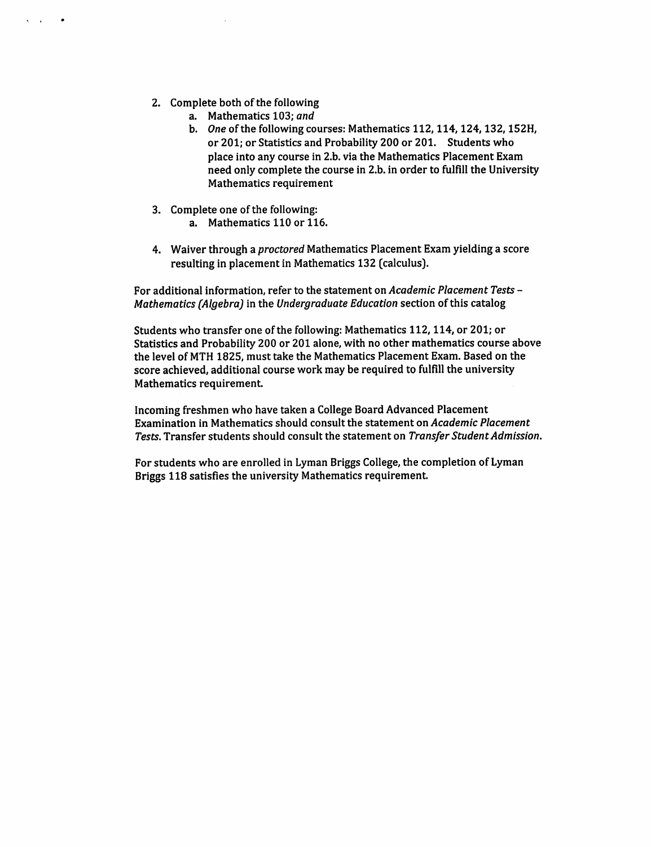2. Complete both of the following

 $\mathbf{r}$ 

- a. Mathematics 103; and
- b. One of the following courses: Mathematics 112, 114, 124, 132, 152H, or 201; or Statistics and Probability 200 or 201. Students who place into any course in 2.b. via the Mathematics Placement Exam need only complete the course in 2.b. in order to fulfill the University Mathematics requirement
- 3. Complete one of the following: a. Mathematics 110 or 116.
- 4. Waiver through a proctored Mathematics Placement Exam yielding a score resulting in placement in Mathematics 132 (calculus).

For additional information, refer to the statement on Academic Placement Tests -Mathematics (Algebra) in the Undergraduate Education section of this catalog

Students who transfer one of the following: Mathematics 112, 114, or 201; or Statistics and Probability 200 or 201 alone, with no other mathematics course above the level of MTH 1825, must take the Mathematics Placement Exam. Based on the score achieved, additional course work may be required to fulfill the university Mathematics requirement.

Incoming freshmen who have taken a College Board Advanced Placement Examination in Mathematics should consult the statement on Academic Placement Tests. Transfer students should consult the statement on Transfer Student Admission.

For students who are enrolled in Lyman Briggs College, the completion of Lyman Briggs 118 satisfies the university Mathematics requirement.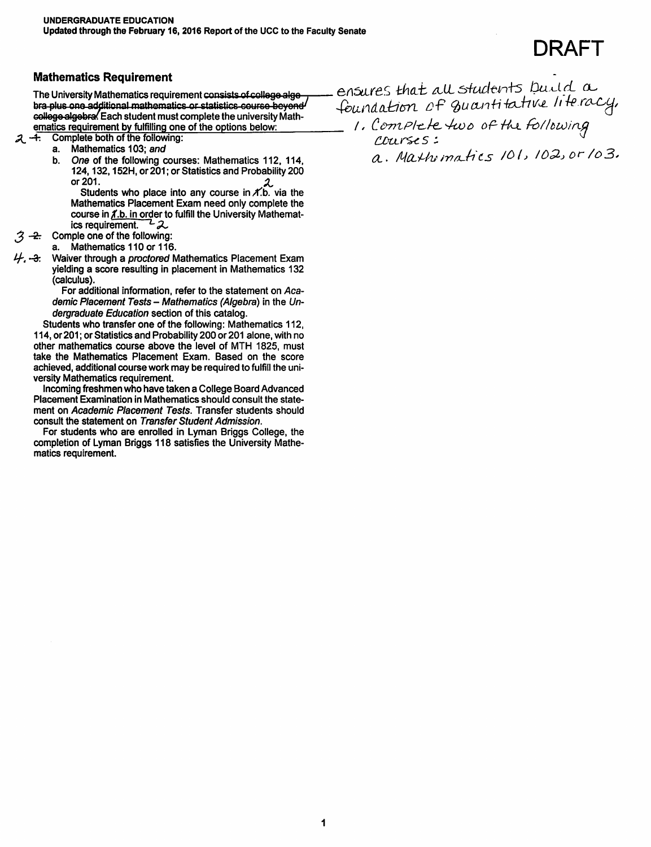DRAFT

#### **Mathematics Requirement**

The University Mathematics requirement consists of college alge bra-plus one additional mathematics or statistics course beyond college algebra. Each student must complete the university Mathematics requirement by fulfilling one of the options below:

 $2 - 4$ . Complete both of the following:

- a. Mathematics 103; and
- One of the following courses: Mathematics 112, 114, b. 124, 132, 152H, or 201; or Statistics and Probability 200 or 201.

Students who place into any course in  $\chi$ .b. via the Mathematics Placement Exam need only complete the course in *f*.b. in order to fulfill the University Mathematics requirement.  $\overline{z}$ 

- Comple one of the following:  $.3 -2.$ 
	- a. Mathematics 110 or 116.
- Waiver through a proctored Mathematics Placement Exam yielding a score resulting in placement in Mathematics 132 (calculus).

For additional information, refer to the statement on Academic Placement Tests - Mathematics (Algebra) in the Undergraduate Education section of this catalog.

Students who transfer one of the following: Mathematics 112, 114, or 201; or Statistics and Probability 200 or 201 alone, with no other mathematics course above the level of MTH 1825, must take the Mathematics Placement Exam. Based on the score achieved, additional course work may be required to fulfill the university Mathematics requirement.

Incoming freshmen who have taken a College Board Advanced Placement Examination in Mathematics should consult the statement on Academic Placement Tests. Transfer students should consult the statement on Transfer Student Admission.

For students who are enrolled in Lyman Briggs College, the completion of Lyman Briggs 118 satisfies the University Mathematics requirement.

ensures that all students build a foundation of quantitative literacy, 1. Complete two of the following

a. Mathematics 101, 102, or 103.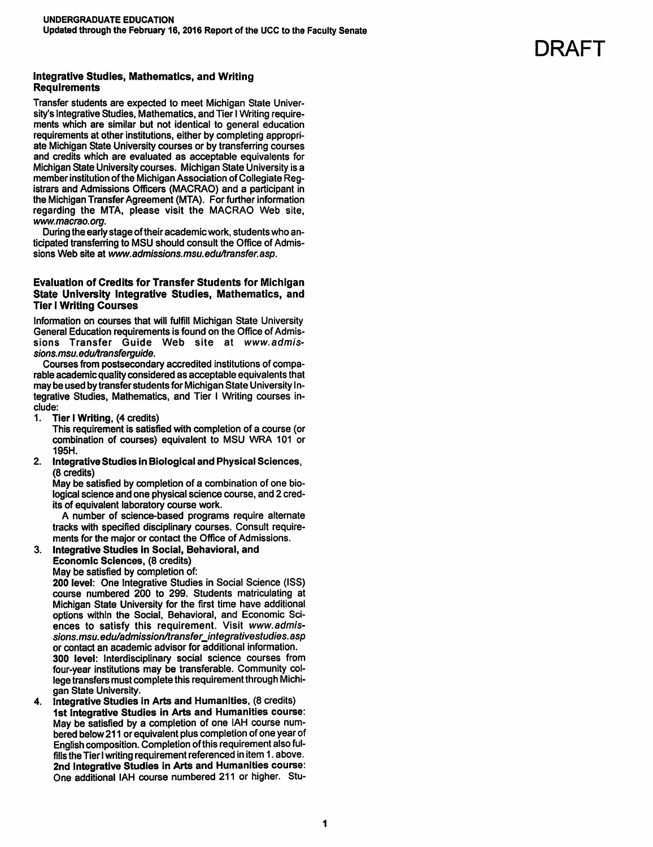#### **Integrative Studies, Mathematics, and Writing Requirements**

Transfer students are expected to meet Michigan State University's Integrative Studies, Mathematics, and Tier I Writing requirements which are similar but not identical to general education requirements at other institutions, either by completing appropriate Michigan State University courses or by transferring courses and credits which are evaluated as acceptable equivalents for Michigan State University courses. Michigan State University is a member institution of the Michigan Association of Collegiate Registrars and Admissions Officers (MACRAO) and a participant in the Michigan Transfer Agreement (MTA). For further information regarding the MTA, please visit the MACRAO Web site, www.macrao.org.

During the early stage of their academic work, students who anticipated transferring to MSU should consult the Office of Admissions Web site at www.admissions.msu.edu/transfer.asp.

#### **Evaluation of Credits for Transfer Students for Michigan** State University Integrative Studies, Mathematics, and **Tier I Writing Courses**

Information on courses that will fulfill Michigan State University General Education requirements is found on the Office of Admissions Transfer Guide Web site at www.admissions.msu.edu/transferquide.

Courses from postsecondary accredited institutions of comparable academic quality considered as acceptable equivalents that may be used by transfer students for Michigan State University Integrative Studies, Mathematics, and Tier I Writing courses include:

 $1<sub>1</sub>$ Tier I Writing, (4 credits)

This requirement is satisfied with completion of a course (or combination of courses) equivalent to MSU WRA 101 or 195H.

 $2.$ Integrative Studies in Biological and Physical Sciences, (8 credits)

May be satisfied by completion of a combination of one biological science and one physical science course, and 2 credits of equivalent laboratory course work.

A number of science-based programs require alternate tracks with specified disciplinary courses. Consult requirements for the major or contact the Office of Admissions.

Integrative Studies in Social, Behavioral, and  $\mathbf{R}$ 

Economic Sciences, (8 credits) May be satisfied by completion of:

200 level: One Integrative Studies in Social Science (ISS) course numbered 200 to 299. Students matriculating at Michigan State University for the first time have additional options within the Social, Behavioral, and Economic Sciences to satisfy this requirement. Visit www.admissions.msu.edu/admission/transfer\_integrativestudies.asp or contact an academic advisor for additional information. 300 level: Interdisciplinary social science courses from four-year institutions may be transferable. Community college transfers must complete this requirement through Michigan State University.

Integrative Studies in Arts and Humanities, (8 credits)  $\mathbf{4}$ 1st Integrative Studies in Arts and Humanities course: May be satisfied by a completion of one IAH course numbered below 211 or equivalent plus completion of one year of English composition. Completion of this requirement also fulfills the Tier I writing requirement referenced in item 1. above. 2nd Integrative Studies in Arts and Humanities course: One additional IAH course numbered 211 or higher. Stu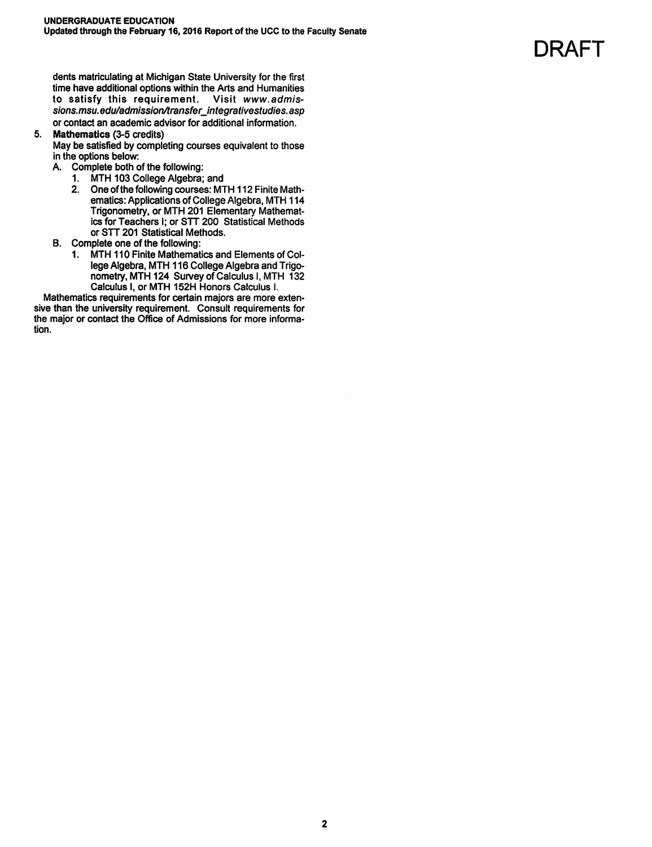dents matriculating at Michigan State University for the first time have additional options within the Arts and Humanities to satisfy this requirement. Visit www.admissions.msu.edu/admission/transfer\_integrativestudies.asp or contact an academic advisor for additional information.

#### 5. Mathematics (3-5 credits)

May be satisfied by completing courses equivalent to those in the options below:

- A. Complete both of the following:
	- 1. MTH 103 College Algebra; and
	- 2. One of the following courses: MTH 112 Finite Mathematics: Applications of College Algebra, MTH 114 Trigonometry, or MTH 201 Elementary Mathematics for Teachers I; or STT 200 Statistical Methods or STT 201 Statistical Methods.
- B. Complete one of the following:
	- 1. MTH 110 Finite Mathematics and Elements of College Algebra, MTH 116 College Algebra and Trigonometry, MTH 124 Survey of Calculus I, MTH 132 Calculus I, or MTH 152H Honors Calculus I.

Mathematics requirements for certain majors are more extensive than the university requirement. Consult requirements for the major or contact the Office of Admissions for more information.

# **DRAFT**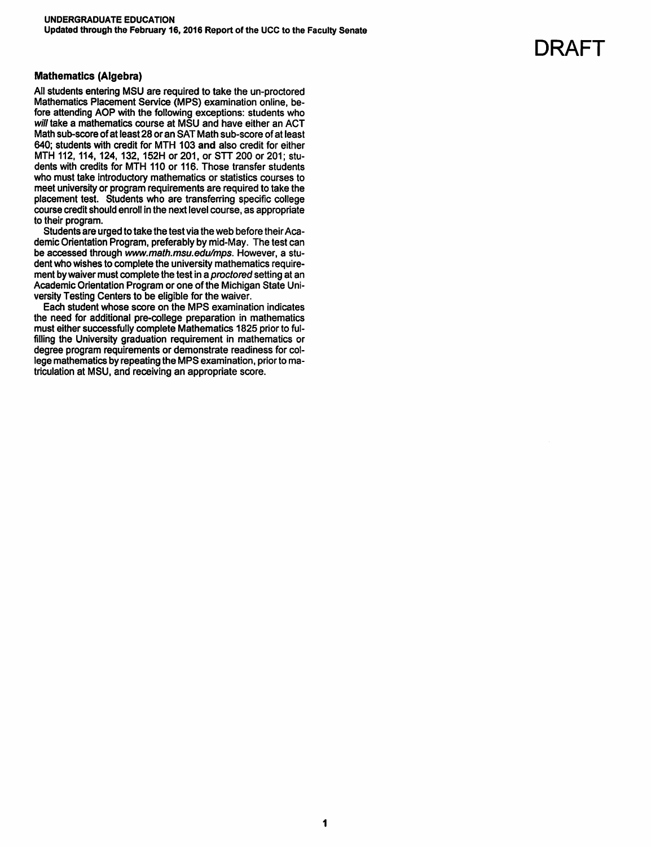### **Mathematics (Algebra)**

All students entering MSU are required to take the un-proctored Mathematics Placement Service (MPS) examination online, before attending AOP with the following exceptions: students who will take a mathematics course at MSU and have either an ACT Math sub-score of at least 28 or an SAT Math sub-score of at least 640; students with credit for MTH 103 and also credit for either MTH 112, 114, 124, 132, 152H or 201, or STT 200 or 201; students with credits for MTH 110 or 116. Those transfer students who must take introductory mathematics or statistics courses to meet university or program requirements are required to take the placement test. Students who are transferring specific college course credit should enroll in the next level course, as appropriate to their program.

Students are urged to take the test via the web before their Academic Orientation Program, preferably by mid-May. The test can be accessed through www.math.msu.edu/mps. However, a student who wishes to complete the university mathematics requirement by waiver must complete the test in a proctored setting at an Academic Orientation Program or one of the Michigan State University Testing Centers to be eligible for the waiver.

Each student whose score on the MPS examination indicates the need for additional pre-college preparation in mathematics must either successfully complete Mathematics 1825 prior to fulfilling the University graduation requirement in mathematics or degree program requirements or demonstrate readiness for college mathematics by repeating the MPS examination, prior to matriculation at MSU, and receiving an appropriate score.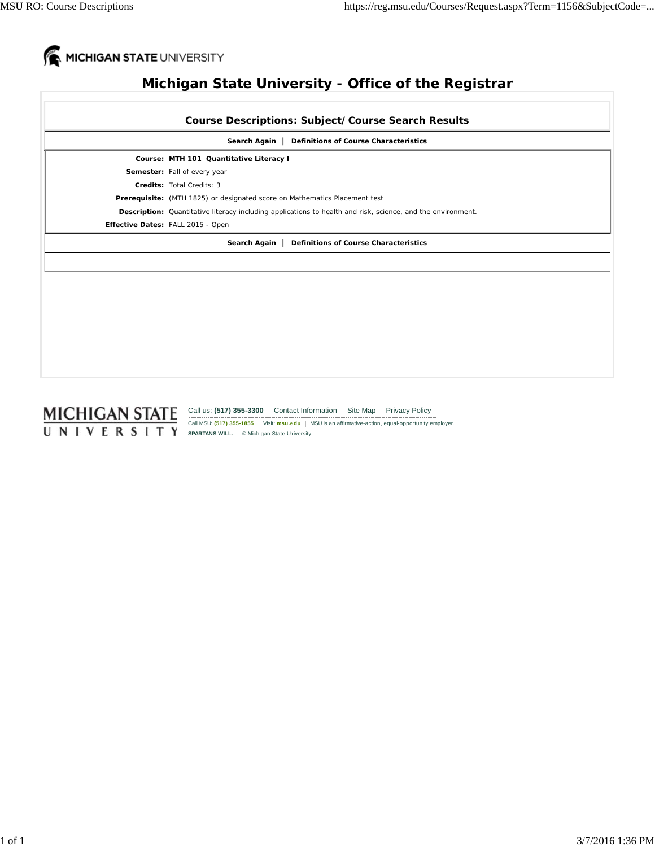

# **Michigan State University - Office of the Registrar**

|                                                              | <b>Course Descriptions: Subject/Course Search Results</b>                                                          |  |
|--------------------------------------------------------------|--------------------------------------------------------------------------------------------------------------------|--|
| <b>Definitions of Course Characteristics</b><br>Search Again |                                                                                                                    |  |
|                                                              | Course: MTH 101 Quantitative Literacy I                                                                            |  |
|                                                              | Semester: Fall of every year                                                                                       |  |
|                                                              | Credits: Total Credits: 3                                                                                          |  |
|                                                              | Prerequisite: (MTH 1825) or designated score on Mathematics Placement test                                         |  |
|                                                              | <b>Description:</b> Quantitative literacy including applications to health and risk, science, and the environment. |  |
|                                                              | Effective Dates: FALL 2015 - Open                                                                                  |  |
| <b>Definitions of Course Characteristics</b><br>Search Again |                                                                                                                    |  |
|                                                              |                                                                                                                    |  |
|                                                              |                                                                                                                    |  |
|                                                              |                                                                                                                    |  |
|                                                              |                                                                                                                    |  |
|                                                              |                                                                                                                    |  |
|                                                              |                                                                                                                    |  |
|                                                              |                                                                                                                    |  |
|                                                              |                                                                                                                    |  |
|                                                              |                                                                                                                    |  |

Call us: (517) 355-3300 Contact Information | Site Map | Privacy Policy

Call MSU: (517) 355-1855 | Visit: **msu.edu** | MSU is an affirmative-action, equal-opportunity employer. **SPARTANS WILL.** © Michigan State University